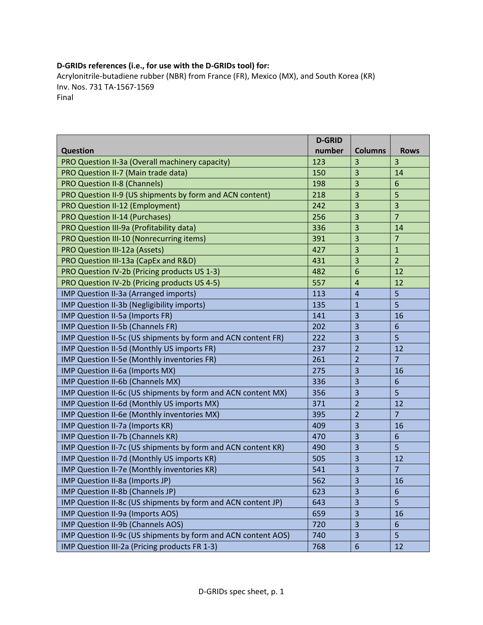## **D‐GRIDs references (i.e., for use with the D‐GRIDs tool) for:**

Acrylonitrile‐butadiene rubber (NBR) from France (FR), Mexico (MX), and South Korea (KR) Inv. Nos. 731 TA‐1567‐1569 Final

**Question D‐GRID number Columns Rows** PRO Question II‐3a (Overall machinery capacity) 123 3 3 PRO Question II-7 (Main trade data) 150  $\vert$  150  $\vert$  3  $\vert$  14 PRO Question II‐8 (Channels) 198 3 6 PRO Question II-9 (US shipments by form and ACN content)  $\begin{array}{|l|l|} \hline \end{array}$  218  $\begin{array}{|l|l|} \hline \end{array}$  3 PRO Question II‐12 (Employment) 242 3 3 PRO Question II‐14 (Purchases) 256 3 7 PRO Question III-9a (Profitability data) 336 336 2 14 PRO Question III-10 (Nonrecurring items) 391 391 3 7 PRO Question III‐12a (Assets) 427 3 1 PRO Question III-13a (CapEx and R&D)  $\begin{array}{|c|c|c|c|c|c|c|c|c|}\n\hline\n & 431 & 3 & 2\n\end{array}$ PRO Question IV-2b (Pricing products US 1-3)  $\vert$  482  $\vert$  6 12 PRO Question IV‐2b (Pricing products US 4‐5) 557 4 12 IMP Question II-3a (Arranged imports) 113  $\vert$  4  $\vert$  5 IMP Question II-3b (Negligibility imports) 135  $\vert$  1  $\vert$  5 IMP Question II‐5a (Imports FR) 141 3 16 IMP Question II‐5b (Channels FR) 202 3 6 IMP Question II-5c (US shipments by form and ACN content FR)  $\begin{array}{|l|l|} 222 & 3 & 5 \end{array}$ IMP Question II‐5d (Monthly US imports FR) 237 2 12 IMP Question II-5e (Monthly inventories FR) 261 2 7 IMP Question II‐6a (Imports MX) 275 3 16 IMP Question II‐6b (Channels MX)  $336$  |  $3$  |  $6$ IMP Question II-6c (US shipments by form and ACN content MX)  $\begin{array}{|l|l|} 3 & 3 \end{array}$  3 IMP Question II‐6d (Monthly US imports MX)  $\begin{array}{|c|c|c|c|c|c|c|c|c|} \hline 371 & 2 & 12 \ \hline \end{array}$ IMP Question II‐6e (Monthly inventories MX)  $\vert$  395  $\vert$  2  $\vert$  7 IMP Question II‐7a (Imports KR)  $\begin{array}{|c|c|c|c|c|c|c|c|c|}\n\hline\n & 409 & 3 & 16\n\end{array}$ IMP Question II‐7b (Channels KR) 470 3 6 IMP Question II-7c (US shipments by form and ACN content KR)  $\begin{array}{|c|c|c|c|c|c|}\n\hline\n & 490 & 3 & 5\n\end{array}$ IMP Question II-7d (Monthly US imports KR)  $\vert$  505  $\vert$  3 12 IMP Question II-7e (Monthly inventories KR) 541 3 7 IMP Question II‐8a (Imports JP) 562 3 16 IMP Question II‐8b (Channels JP) 623 6 IMP Question II-8c (US shipments by form and ACN content JP)  $\begin{array}{|l|l|} 643 & 3 \end{array}$  | 3  $\begin{array}{|l|l|} 5 \end{array}$ IMP Question II‐9a (Imports AOS) 659 3 16 IMP Question II-9b (Channels AOS) 720  $\vert$  3 6 IMP Question II-9c (US shipments by form and ACN content AOS)  $\begin{array}{|l|l|} \hline \end{array}$  740  $\begin{array}{|l|l|} \hline \end{array}$  3 IMP Question III-2a (Pricing products FR 1-3) 768  $\begin{array}{|l|l|}\n\end{array}$  768  $\begin{array}{|l|l|}\n\end{array}$  12